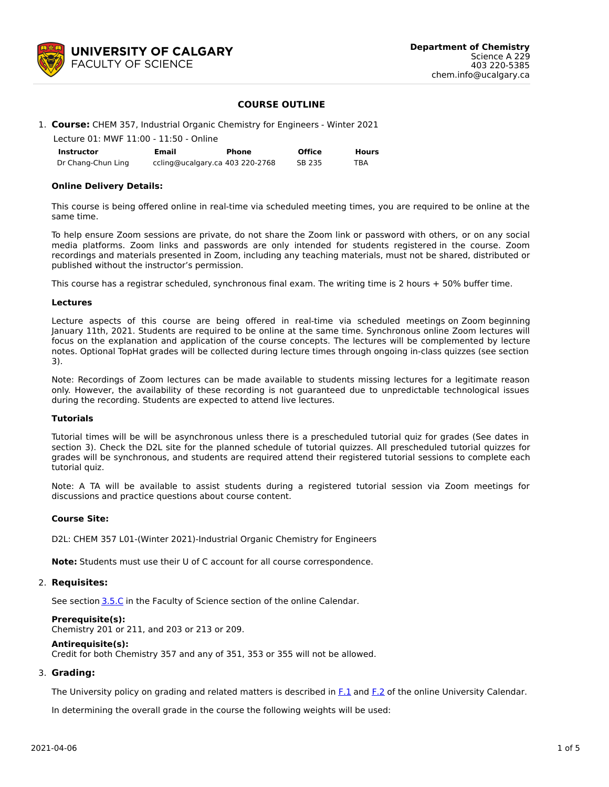

## **COURSE OUTLINE**

## 1. **Course:** CHEM 357, Industrial Organic Chemistry for Engineers - Winter 2021

| Lecture 01: MWF 11:00 - 11:50 - Online |                                 |       |               |              |  |  |  |  |
|----------------------------------------|---------------------------------|-------|---------------|--------------|--|--|--|--|
| Instructor                             | Email                           | Phone | <b>Office</b> | <b>Hours</b> |  |  |  |  |
| Dr Chang-Chun Ling                     | ccling@ucalgary.ca 403 220-2768 |       | SB 235        | TBA          |  |  |  |  |

### **Online Delivery Details:**

This course is being offered online in real-time via scheduled meeting times, you are required to be online at the same time.

To help ensure Zoom sessions are private, do not share the Zoom link or password with others, or on any social media platforms. Zoom links and passwords are only intended for students registered in the course. Zoom recordings and materials presented in Zoom, including any teaching materials, must not be shared, distributed or published without the instructor's permission.

This course has a registrar scheduled, synchronous final exam. The writing time is 2 hours + 50% buffer time.

### **Lectures**

Lecture aspects of this course are being offered in real-time via scheduled meetings on Zoom beginning January 11th, 2021. Students are required to be online at the same time. Synchronous online Zoom lectures will focus on the explanation and application of the course concepts. The lectures will be complemented by lecture notes. Optional TopHat grades will be collected during lecture times through ongoing in-class quizzes (see section 3).

Note: Recordings of Zoom lectures can be made available to students missing lectures for a legitimate reason only. However, the availability of these recording is not guaranteed due to unpredictable technological issues during the recording. Students are expected to attend live lectures.

### **Tutorials**

Tutorial times will be will be asynchronous unless there is a prescheduled tutorial quiz for grades (See dates in section 3). Check the D2L site for the planned schedule of tutorial quizzes. All prescheduled tutorial quizzes for grades will be synchronous, and students are required attend their registered tutorial sessions to complete each tutorial quiz.

Note: A TA will be available to assist students during a registered tutorial session via Zoom meetings for discussions and practice questions about course content.

### **Course Site:**

D2L: CHEM 357 L01-(Winter 2021)-Industrial Organic Chemistry for Engineers

**Note:** Students must use their U of C account for all course correspondence.

### 2. **Requisites:**

See section [3.5.C](http://www.ucalgary.ca/pubs/calendar/current/sc-3-5.html) in the Faculty of Science section of the online Calendar.

### **Prerequisite(s):**

Chemistry 201 or 211, and 203 or 213 or 209.

#### **Antirequisite(s):**

Credit for both Chemistry 357 and any of 351, 353 or 355 will not be allowed.

### 3. **Grading:**

The University policy on grading and related matters is described in [F.1](http://www.ucalgary.ca/pubs/calendar/current/f-1.html) and [F.2](http://www.ucalgary.ca/pubs/calendar/current/f-2.html) of the online University Calendar.

In determining the overall grade in the course the following weights will be used: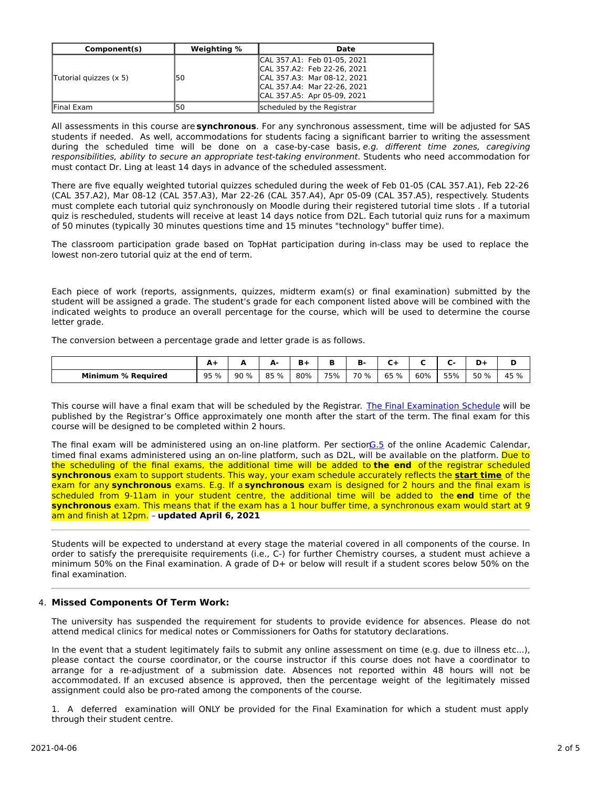| Component(s)           | Weighting % | Date                                                                                                                                                    |
|------------------------|-------------|---------------------------------------------------------------------------------------------------------------------------------------------------------|
| Tutorial quizzes (x 5) | 50          | CAL 357.A1: Feb 01-05, 2021<br>CAL 357.A2: Feb 22-26, 2021<br>CAL 357.A3: Mar 08-12, 2021<br>CAL 357.A4: Mar 22-26, 2021<br>CAL 357.A5: Apr 05-09, 2021 |
| lFinal Exam            | l50         | scheduled by the Registrar                                                                                                                              |

All assessments in this course are **synchronous**. For any synchronous assessment, time will be adjusted for SAS students if needed. As well, accommodations for students facing a significant barrier to writing the assessment during the scheduled time will be done on a case-by-case basis, e.g. different time zones, caregiving responsibilities, ability to secure an appropriate test-taking environment. Students who need accommodation for must contact Dr. Ling at least 14 days in advance of the scheduled assessment.

There are five equally weighted tutorial quizzes scheduled during the week of Feb 01-05 (CAL 357.A1), Feb 22-26 (CAL 357.A2), Mar 08-12 (CAL 357.A3), Mar 22-26 (CAL 357.A4), Apr 05-09 (CAL 357.A5), respectively. Students must complete each tutorial quiz synchronously on Moodle during their registered tutorial time slots . If a tutorial quiz is rescheduled, students will receive at least 14 days notice from D2L. Each tutorial quiz runs for a maximum of 50 minutes (typically 30 minutes questions time and 15 minutes "technology" buffer time).

The classroom participation grade based on TopHat participation during in-class may be used to replace the lowest non-zero tutorial quiz at the end of term.

Each piece of work (reports, assignments, quizzes, midterm exam(s) or final examination) submitted by the student will be assigned a grade. The student's grade for each component listed above will be combined with the indicated weights to produce an overall percentage for the course, which will be used to determine the course letter grade.

The conversion between a percentage grade and letter grade is as follows.

|                           | A.   | ~    | д.<br>- |     |     | ъ.        |         |     |     | D+   |      |
|---------------------------|------|------|---------|-----|-----|-----------|---------|-----|-----|------|------|
| <b>Minimum % Required</b> | 95 % | 90 % | 85 %    | 80% | 75% | 70<br>് % | 65<br>% | 60% | 55% | 50 % | 45 % |

This course will have a final exam that will be scheduled by the Registrar. The Final [Examination](https://www.ucalgary.ca/registrar/exams) Schedule will be published by the Registrar's Office approximately one month after the start of the term. The final exam for this course will be designed to be completed within 2 hours.

The final exam will be administered using an on-line platform. Per section G.5 of the online Academic Calendar, timed final exams administered using an on-line platform, such as D2L, will be available on the platform. Due to the scheduling of the final exams, the additional time will be added to **the end** of the registrar scheduled **synchronous** exam to support students. This way, your exam schedule accurately reflects the **start time** of the exam for any **synchronous** exams. E.g. If a **synchronous** exam is designed for 2 hours and the final exam is scheduled from 9-11am in your student centre, the additional time will be added to the **end** time of the **synchronous** exam. This means that if the exam has a 1 hour buffer time, a synchronous exam would start at 9 am and finish at 12pm. – **updated April 6, 2021**

Students will be expected to understand at every stage the material covered in all components of the course. In order to satisfy the prerequisite requirements (i.e., C-) for further Chemistry courses, a student must achieve a minimum 50% on the Final examination. A grade of D+ or below will result if a student scores below 50% on the final examination.

### 4. **Missed Components Of Term Work:**

The university has suspended the requirement for students to provide evidence for absences. Please do not attend medical clinics for medical notes or Commissioners for Oaths for statutory declarations.

In the event that a student legitimately fails to submit any online assessment on time (e.g. due to illness etc...), please contact the course coordinator, or the course instructor if this course does not have a coordinator to arrange for a re-adjustment of a submission date. Absences not reported within 48 hours will not be accommodated. If an excused absence is approved, then the percentage weight of the legitimately missed assignment could also be pro-rated among the components of the course.

1. A deferred examination will ONLY be provided for the Final Examination for which a student must apply through their student centre.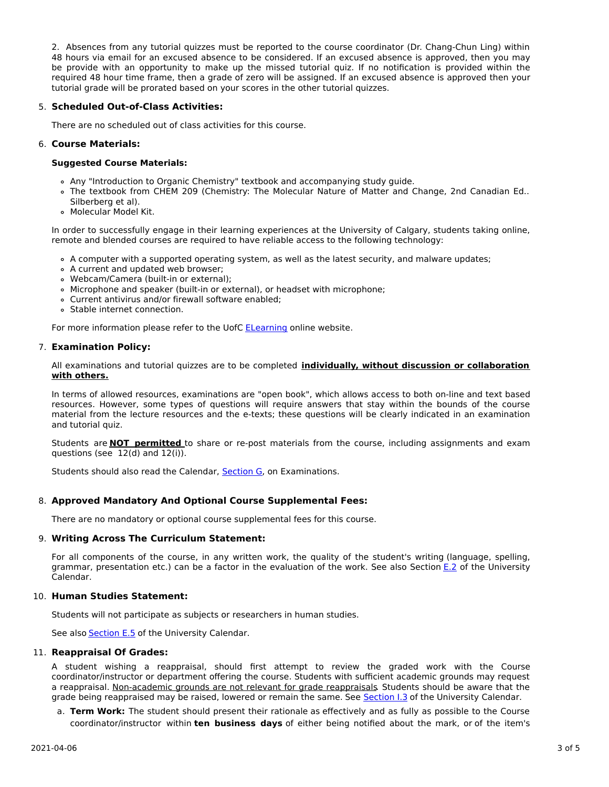2. Absences from any tutorial quizzes must be reported to the course coordinator (Dr. Chang-Chun Ling) within 48 hours via email for an excused absence to be considered. If an excused absence is approved, then you may be provide with an opportunity to make up the missed tutorial quiz. If no notification is provided within the required 48 hour time frame, then a grade of zero will be assigned. If an excused absence is approved then your tutorial grade will be prorated based on your scores in the other tutorial quizzes.

# 5. **Scheduled Out-of-Class Activities:**

There are no scheduled out of class activities for this course.

# 6. **Course Materials:**

## **Suggested Course Materials:**

- Any "Introduction to Organic Chemistry" textbook and accompanying study guide.
- The textbook from CHEM 209 (Chemistry: The Molecular Nature of Matter and Change, 2nd Canadian Ed.. Silberberg et al).
- Molecular Model Kit.

In order to successfully engage in their learning experiences at the University of Calgary, students taking online, remote and blended courses are required to have reliable access to the following technology:

- A computer with a supported operating system, as well as the latest security, and malware updates;
- A current and updated web browser;
- Webcam/Camera (built-in or external);
- Microphone and speaker (built-in or external), or headset with microphone;
- Current antivirus and/or firewall software enabled;
- Stable internet connection.

For more information please refer to the UofC [ELearning](https://elearn.ucalgary.ca/technology-requirements-for-students) online website.

# 7. **Examination Policy:**

All examinations and tutorial quizzes are to be completed **individually, without discussion or collaboration with others.**

In terms of allowed resources, examinations are "open book", which allows access to both on-line and text based resources. However, some types of questions will require answers that stay within the bounds of the course material from the lecture resources and the e-texts; these questions will be clearly indicated in an examination and tutorial quiz.

Students are **NOT permitted** to share or re-post materials from the course, including assignments and exam questions (see 12(d) and 12(i)).

Students should also read the Calendar, [Section](http://www.ucalgary.ca/pubs/calendar/current/g.html) G, on Examinations.

# 8. **Approved Mandatory And Optional Course Supplemental Fees:**

There are no mandatory or optional course supplemental fees for this course.

# 9. **Writing Across The Curriculum Statement:**

For all components of the course, in any written work, the quality of the student's writing (language, spelling, grammar, presentation etc.) can be a factor in the evaluation of the work. See also Section [E.2](http://www.ucalgary.ca/pubs/calendar/current/e-2.html) of the University Calendar.

# 10. **Human Studies Statement:**

Students will not participate as subjects or researchers in human studies.

See also **[Section](http://www.ucalgary.ca/pubs/calendar/current/e-5.html) E.5** of the University Calendar.

# 11. **Reappraisal Of Grades:**

A student wishing a reappraisal, should first attempt to review the graded work with the Course coordinator/instructor or department offering the course. Students with sufficient academic grounds may request a reappraisal. Non-academic grounds are not relevant for grade reappraisals. Students should be aware that the grade being reappraised may be raised, lowered or remain the same. See [Section](http://www.ucalgary.ca/pubs/calendar/current/i-3.html) I.3 of the University Calendar.

a. **Term Work:** The student should present their rationale as effectively and as fully as possible to the Course coordinator/instructor within **ten business days** of either being notified about the mark, or of the item's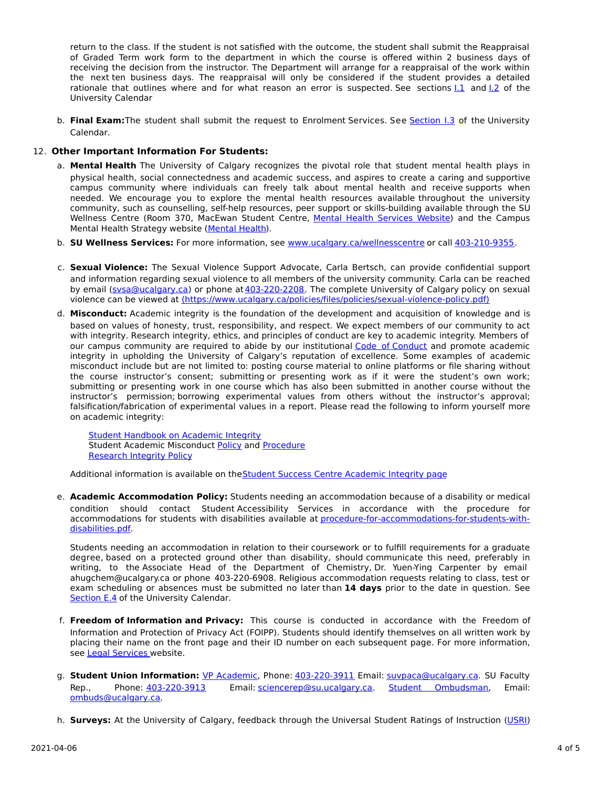return to the class. If the student is not satisfied with the outcome, the student shall submit the Reappraisal of Graded Term work form to the department in which the course is offered within 2 business days of receiving the decision from the instructor. The Department will arrange for a reappraisal of the work within the next ten business days. The reappraisal will only be considered if the student provides a detailed rationale that outlines where and for what reason an error is suspected. See sections  $1.1$  and  $1.2$  of the University Calendar

b. **Final Exam:**The student shall submit the request to Enrolment Services. See [Section](http://www.ucalgary.ca/pubs/calendar/current/i-3.html) I.3 of the University Calendar.

# 12. **Other Important Information For Students:**

- a. **Mental Health** The University of Calgary recognizes the pivotal role that student mental health plays in physical health, social connectedness and academic success, and aspires to create a caring and supportive campus community where individuals can freely talk about mental health and receive supports when needed. We encourage you to explore the mental health resources available throughout the university community, such as counselling, self-help resources, peer support or skills-building available through the SU Wellness Centre (Room 370, MacEwan Student Centre, Mental Health [Services](https://www.ucalgary.ca/wellnesscentre/services/mental-health-services) Website) and the Campus Mental Health Strategy website [\(Mental](http://www.ucalgary.ca/mentalhealth) Health).
- b. **SU Wellness Services:** For more information, see [www.ucalgary.ca/wellnesscentre](http://www.ucalgary.ca/wellnesscentre) or call [403-210-9355.](tel:4032109355)
- c. **Sexual Violence:** The Sexual Violence Support Advocate, Carla Bertsch, can provide confidential support and information regarding sexual violence to all members of the university community. Carla can be reached by email [\(svsa@ucalgary.ca](mailto:svsa@ucalgary.ca)) or phone at [403-220-2208](tel:4032202208). The complete University of Calgary policy on sexual violence can be viewed at [\(https://www.ucalgary.ca/policies/files/policies/sexual-violence-policy.pdf\)](https://www.ucalgary.ca/policies/files/policies/sexual-violence-policy.pdf)
- d. **Misconduct:** Academic integrity is the foundation of the development and acquisition of knowledge and is based on values of honesty, trust, responsibility, and respect. We expect members of our community to act with integrity. Research integrity, ethics, and principles of conduct are key to academic integrity. Members of our campus community are required to abide by our institutional Code of [Conduct](https://www.ucalgary.ca/policies/files/policies/code-of-conduct.pdf) and promote academic integrity in upholding the University of Calgary's reputation of excellence. Some examples of academic misconduct include but are not limited to: posting course material to online platforms or file sharing without the course instructor's consent; submitting or presenting work as if it were the student's own work; submitting or presenting work in one course which has also been submitted in another course without the instructor's permission; borrowing experimental values from others without the instructor's approval; falsification/fabrication of experimental values in a report. Please read the following to inform yourself more on academic integrity:

Student [Handbook](https://www.ucalgary.ca/live-uc-ucalgary-site/sites/default/files/teams/9/AI-Student-handbook-1.pdf) on Academic Integrity Student Academic Misconduct [Policy](https://ucalgary.ca/policies/files/policies/student-academic-misconduct-policy.pdf) and [Procedure](https://ucalgary.ca/policies/files/policies/student-academic-misconduct-procedure.pdf) [Research](https://www.ucalgary.ca/policies/files/policies/research-integrity.pdf) Integrity Policy

Additional information is available on the Student Success Centre [Academic](https://ucalgary.ca/student-services/student-success/learning/academic-integrity) Integrity page

e. **Academic Accommodation Policy:** Students needing an accommodation because of a disability or medical condition should contact Student Accessibility Services in accordance with the procedure for accommodations for students with disabilities available at [procedure-for-accommodations-for-students-with](http://www.ucalgary.ca/policies/files/policies/procedure-for-accommodations-for-students-with-disabilities_0.pdf)disabilities.pdf.

Students needing an accommodation in relation to their coursework or to fulfill requirements for a graduate degree, based on a protected ground other than disability, should communicate this need, preferably in writing, to the Associate Head of the Department of Chemistry, Dr. Yuen-Ying Carpenter by email ahugchem@ucalgary.ca or phone 403-220-6908. Religious accommodation requests relating to class, test or exam scheduling or absences must be submitted no later than **14 days** prior to the date in question. See [Section](http://www.ucalgary.ca/pubs/calendar/current/e-4.html) E.4 of the University Calendar.

- f. **Freedom of Information and Privacy:** This course is conducted in accordance with the Freedom of Information and Protection of Privacy Act (FOIPP). Students should identify themselves on all written work by placing their name on the front page and their ID number on each subsequent page. For more information, see Legal [Services](http://www.ucalgary.ca/legalservices/foip) website.
- g. **Student Union Information:** VP [Academic](http://www.su.ucalgary.ca/contact), Phone: [403-220-3911](tel:4032203911) Email: [suvpaca@ucalgary.ca](mailto:suvpaca@ucalgary.ca). SU Faculty Rep., Phone: [403-220-3913](tel:4032203913) Email: [sciencerep@su.ucalgary.ca](mailto:sciencerep@su.ucalgary.ca). Student [Ombudsman](https://www.ucalgary.ca/ombuds/), Email: [ombuds@ucalgary.ca](mailto:%20ombuds@ucalgary.ca).
- h. **Surveys:** At the University of Calgary, feedback through the Universal Student Ratings of Instruction [\(USRI](http://www.ucalgary.ca/usri))